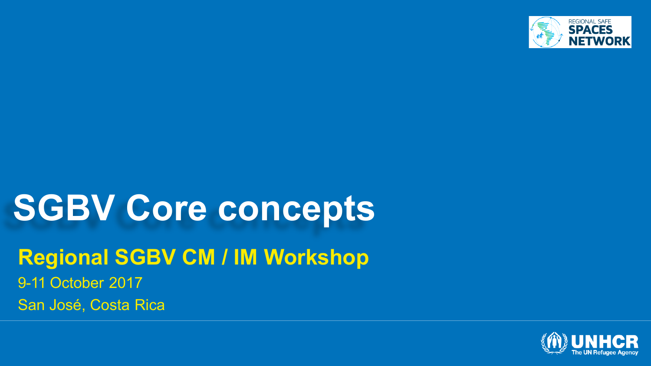

# **SGBV Core concepts**

**Regional SGBV CM / IM Workshop** 9-11 October 2017 San José, Costa Rica

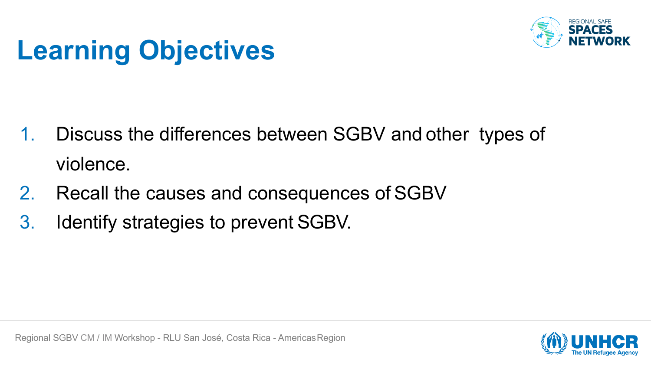

### **Learning Objectives**

- 1. Discuss the differences between SGBV and other types of violence.
- 2. Recall the causes and consequences of SGBV
- 3. Identify strategies to prevent SGBV.

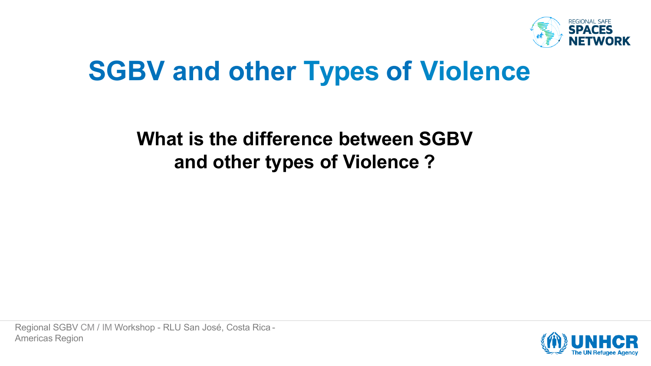

### **SGBV and other Types of Violence**

#### **What is the difference between SGBV and other types of Violence ?**

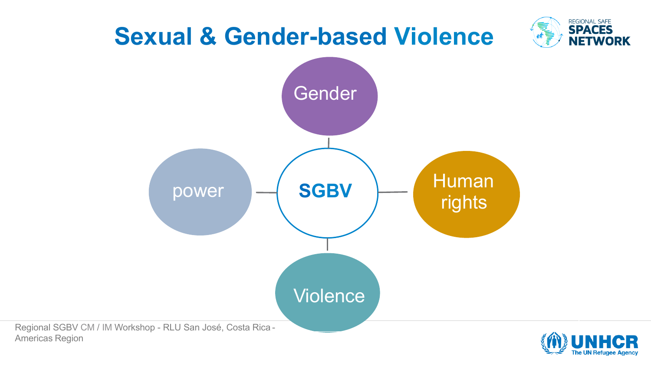

Regional SGBV CM / IM Workshop - RLU San José, Costa Rica - Americas Region

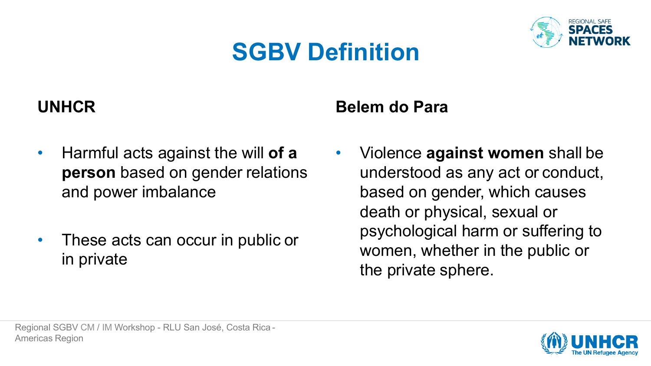#### **SGBV Definition**



#### **UNHCR**

- 
- Harmful acts against the will **of a person** based on gender relations and power imbalance
- These acts can occur in public or in private

#### **Belem do Para**

• Violence **against women** shall be understood as any act or conduct, based on gender, which causes death or physical, sexual or psychological harm or suffering to women, whether in the public or the private sphere.

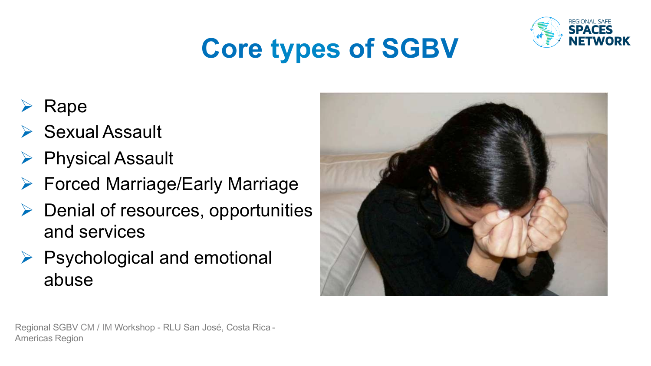

## **Core types of SGBV**

- Rape
- $\triangleright$  Sexual Assault
- **▶ Physical Assault**
- **► Forced Marriage/Early Marriage**
- $\triangleright$  Denial of resources, opportunities and services
- $\triangleright$  Psychological and emotional abuse



Regional SGBV CM / IM Workshop - RLU San José, Costa Rica - Americas Region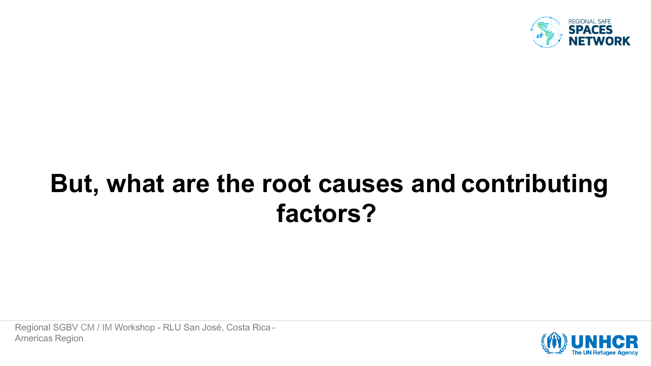

### **But, what are the root causes and contributing factors?**

Regional SGBV CM / IM Workshop - RLU San José, Costa Rica - Americas Region

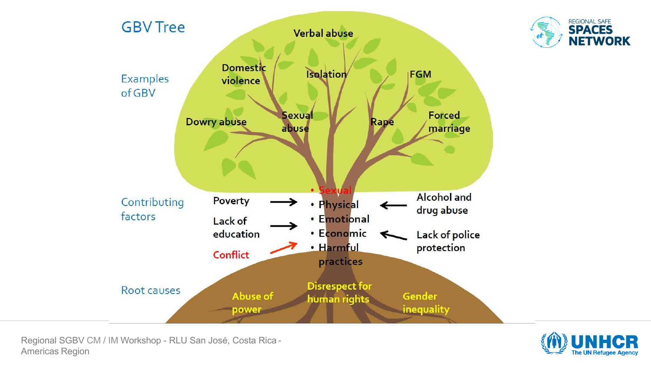

Regional SGBV CM / IM Workshop - RLU San José, Costa Rica - Americas Region



REGIONAL SAFE<br>**SPACES** 

**NETWORK**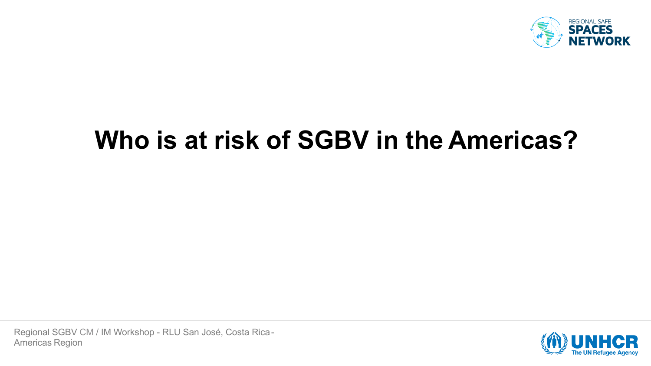

#### **Who is at risk of SGBV in the Americas?**

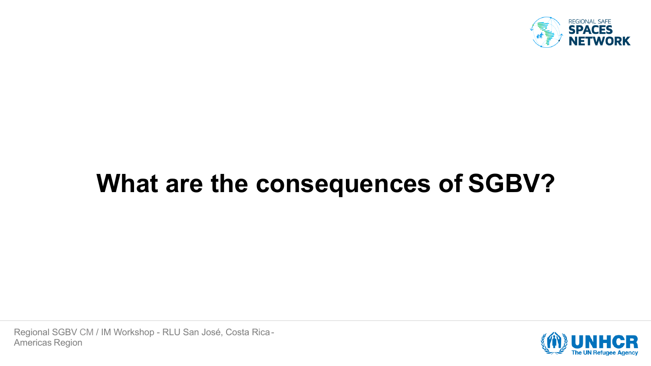

### **What are the consequences of SGBV?**

Regional SGBV CM / IM Workshop - RLU San José, Costa Rica-Americas Region

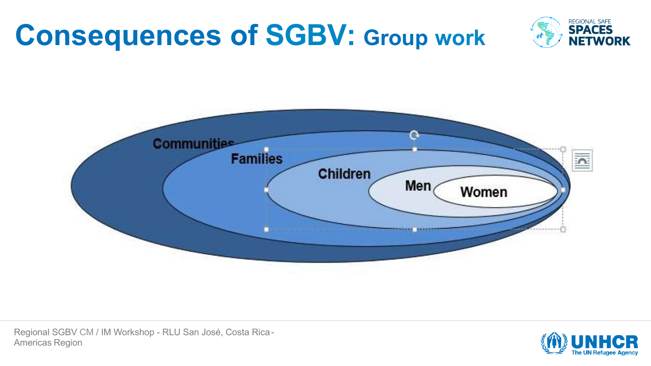## **Consequences of SGBV: Group work**





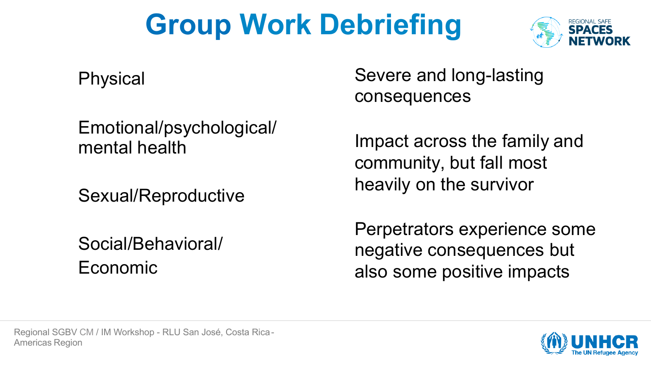## **Group Work Debriefing**



Physical

Emotional/psychological/ mental health

Sexual/Reproductive

Social/Behavioral/ Economic

Severe and long-lasting consequences

Impact across the family and community, but fall most heavily on the survivor

Perpetrators experience some negative consequences but also some positive impacts

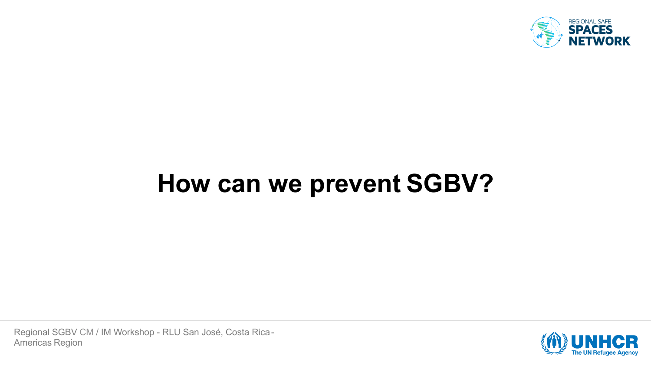

#### **How can we prevent SGBV?**

Regional SGBV CM / IM Workshop - RLU San José, Costa Rica-Americas Region

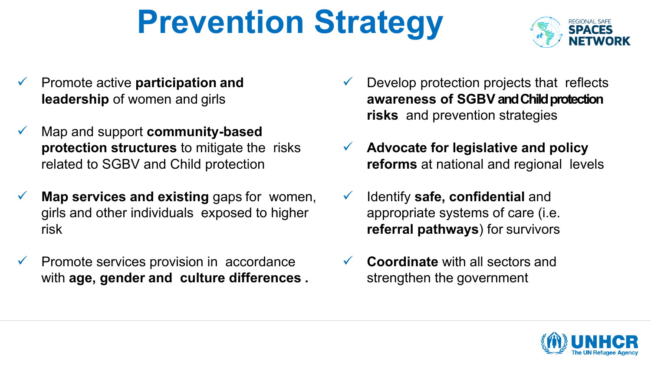# **Prevention Strategy**



- ü Promote active **participation and leadership** of women and girls
- ü Map and support **community-based protection structures** to mitigate the risks related to SGBV and Child protection
- **Map services and existing** gaps for women, girls and other individuals exposed to higher risk
- Promote services provision in accordance with **age, gender and culture differences .**
- $\checkmark$  Develop protection projects that reflects **awareness of SGBV and Child protection risks** and prevention strategies
- ü **Advocate for legislative and policy reforms** at national and regional levels
- ü Identify **safe, confidential** and appropriate systems of care (i.e. **referral pathways**) for survivors
- **Coordinate** with all sectors and strengthen the government

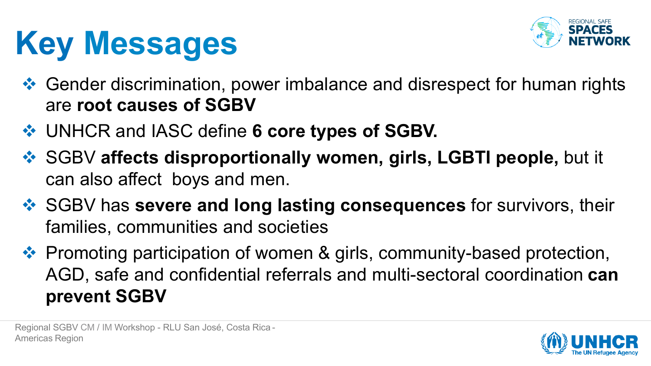# **Key Messages**



- $\cdot$  Gender discrimination, power imbalance and disrespect for human rights are **root causes of SGBV**
- v UNHCR and IASC define **6 core types of SGBV.**
- ◆ SGBV affects disproportionally women, girls, LGBTI people, but it can also affect boys and men.
- **❖ SGBV has severe and long lasting consequences** for survivors, their families, communities and societies
- ❖ Promoting participation of women & girls, community-based protection, AGD, safe and confidential referrals and multi-sectoral coordination **can prevent SGBV**